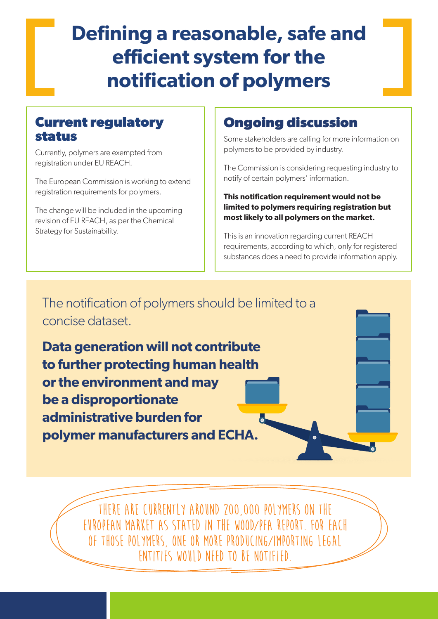# **Defining a reasonable, safe and efficient system for the notification of polymers**

#### **Current regulatory status**

Currently, polymers are exempted from registration under EU REACH.

The European Commission is working to extend registration requirements for polymers.

The change will be included in the upcoming revision of EU REACH, as per the Chemical Strategy for Sustainability.

## **Ongoing discussion**

Some stakeholders are calling for more information on polymers to be provided by industry.

The Commission is considering requesting industry to notify of certain polymers' information.

**This notification requirement would not be limited to polymers requiring registration but most likely to all polymers on the market.**

This is an innovation regarding current REACH requirements, according to which, only for registered substances does a need to provide information apply.

The notification of polymers should be limited to a concise dataset.

**Data generation will not contribute to further protecting human health or the environment and may be a disproportionate administrative burden for polymer manufacturers and ECHA.**

> **There are currently around 200,000 polymers on the European market as stated in the Wood/PFA report. For each of those polymers, one or more producing/importing legal entities would need to be notified.**